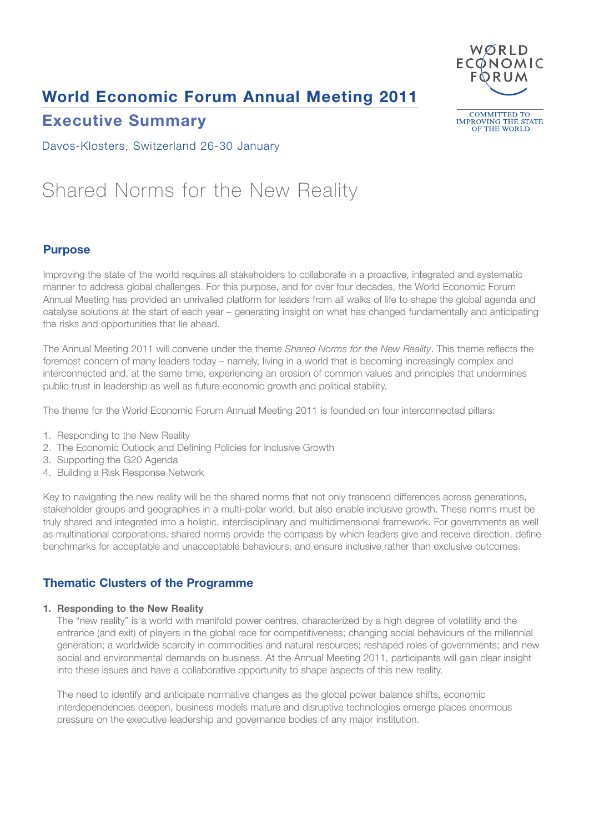## **World Economic Forum Annual Meeting 2011**



### **Executive Summary**

**COMMITTED TO** IMPROVING THE STATE<br>OF THE WORLD

Davos-Klosters, Switzerland 26-30 January

# Shared Norms for the New Reality

#### **Purpose**

Improving the state of the world requires all stakeholders to collaborate in a proactive, integrated and systematic manner to address global challenges. For this purpose, and for over four decades, the World Economic Forum Annual Meeting has provided an unrivalled platform for leaders from all walks of life to shape the global agenda and catalyse solutions at the start of each year – generating insight on what has changed fundamentally and anticipating the risks and opportunities that lie ahead.

The Annual Meeting 2011 will convene under the theme *Shared Norms for the New Reality*. This theme reflects the foremost concern of many leaders today – namely, living in a world that is becoming increasingly complex and interconnected and, at the same time, experiencing an erosion of common values and principles that undermines public trust in leadership as well as future economic growth and political stability.

The theme for the World Economic Forum Annual Meeting 2011 is founded on four interconnected pillars:

- 1. Responding to the New Reality
- 2. The Economic Outlook and Defining Policies for Inclusive Growth
- 3. Supporting the G20 Agenda
- 4. Building a Risk Response Network

Key to navigating the new reality will be the shared norms that not only transcend differences across generations, stakeholder groups and geographies in a multi-polar world, but also enable inclusive growth. These norms must be truly shared and integrated into a holistic, interdisciplinary and multidimensional framework. For governments as well as multinational corporations, shared norms provide the compass by which leaders give and receive direction, define benchmarks for acceptable and unacceptable behaviours, and ensure inclusive rather than exclusive outcomes.

#### **Thematic Clusters of the Programme**

#### **1. Responding to the New Reality**

The "new reality" is a world with manifold power centres, characterized by a high degree of volatility and the entrance (and exit) of players in the global race for competitiveness; changing social behaviours of the millennial generation; a worldwide scarcity in commodities and natural resources; reshaped roles of governments; and new social and environmental demands on business. At the Annual Meeting 2011, participants will gain clear insight into these issues and have a collaborative opportunity to shape aspects of this new reality.

The need to identify and anticipate normative changes as the global power balance shifts, economic interdependencies deepen, business models mature and disruptive technologies emerge places enormous pressure on the executive leadership and governance bodies of any major institution.